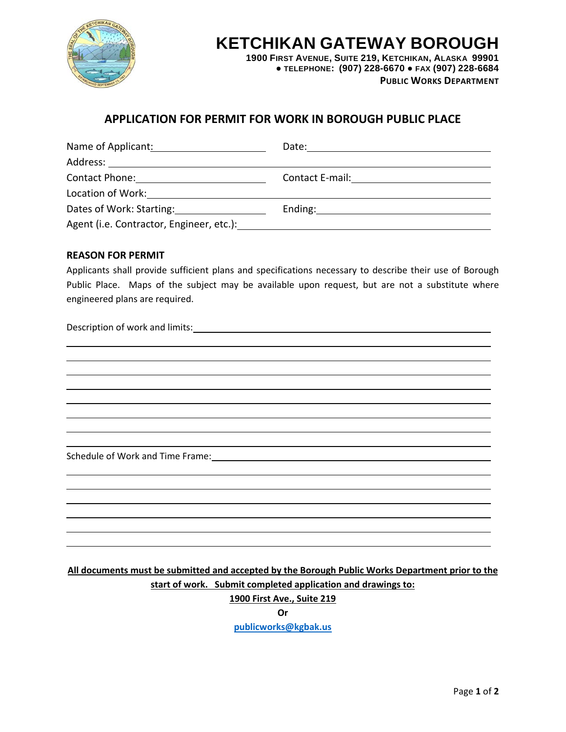

# **KETCHIKAN GATEWAY BOROUGH**

**1900 FIRST AVENUE, SUITE 219, KETCHIKAN, ALASKA 99901 ● TELEPHONE: (907) 228-6670 ● FAX (907) 228-6684 PUBLIC WORKS DEPARTMENT**

### **APPLICATION FOR PERMIT FOR WORK IN BOROUGH PUBLIC PLACE**

| Name of Applicant:                                                                                            | Date:                                                                                                                                                                                                                          |
|---------------------------------------------------------------------------------------------------------------|--------------------------------------------------------------------------------------------------------------------------------------------------------------------------------------------------------------------------------|
|                                                                                                               |                                                                                                                                                                                                                                |
|                                                                                                               | Contact E-mail: <u>__________________________</u>                                                                                                                                                                              |
| Location of Work:<br><u>Location</u> of Work:                                                                 |                                                                                                                                                                                                                                |
| Dates of Work: Starting: Dates of Work: Starting:                                                             | Ending: 2008 Contract Contract Contract Contract Contract Contract Contract Contract Contract Contract Contract Contract Contract Contract Contract Contract Contract Contract Contract Contract Contract Contract Contract Co |
| Agent (i.e. Contractor, Engineer, etc.): The contractor of the contractor of the contractor of the contractor |                                                                                                                                                                                                                                |

#### **REASON FOR PERMIT**

Applicants shall provide sufficient plans and specifications necessary to describe their use of Borough Public Place. Maps of the subject may be available upon request, but are not a substitute where engineered plans are required.

Description of work and limits:

Schedule of Work and Time Frame:

**All documents must be submitted and accepted by the Borough Public Works Department prior to the start of work. Submit completed application and drawings to: 1900 First Ave., Suite 219**

**Or**

**[publicworks@kgbak.us](mailto:publicworks@kgbak.us)**